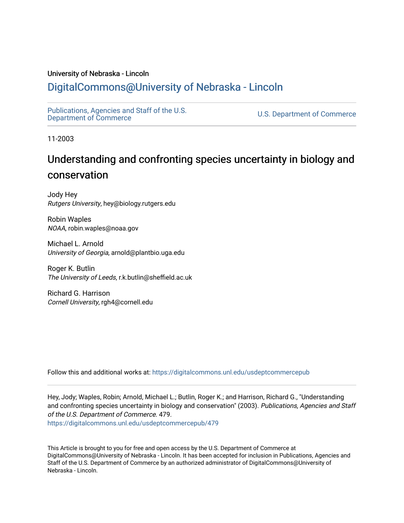### University of Nebraska - Lincoln

## [DigitalCommons@University of Nebraska - Lincoln](https://digitalcommons.unl.edu/)

[Publications, Agencies and Staff of the U.S.](https://digitalcommons.unl.edu/usdeptcommercepub)

U.S. [Department of Commerce](https://digitalcommons.unl.edu/usdeptcommercepub)

11-2003

# Understanding and confronting species uncertainty in biology and conservation

Jody Hey Rutgers University, hey@biology.rutgers.edu

Robin Waples NOAA, robin.waples@noaa.gov

Michael L. Arnold University of Georgia, arnold@plantbio.uga.edu

Roger K. Butlin The University of Leeds, r.k.butlin@sheffield.ac.uk

Richard G. Harrison Cornell University, rgh4@cornell.edu

Follow this and additional works at: [https://digitalcommons.unl.edu/usdeptcommercepub](https://digitalcommons.unl.edu/usdeptcommercepub?utm_source=digitalcommons.unl.edu%2Fusdeptcommercepub%2F479&utm_medium=PDF&utm_campaign=PDFCoverPages)

Hey, Jody; Waples, Robin; Arnold, Michael L.; Butlin, Roger K.; and Harrison, Richard G., "Understanding and confronting species uncertainty in biology and conservation" (2003). Publications, Agencies and Staff of the U.S. Department of Commerce. 479.

[https://digitalcommons.unl.edu/usdeptcommercepub/479](https://digitalcommons.unl.edu/usdeptcommercepub/479?utm_source=digitalcommons.unl.edu%2Fusdeptcommercepub%2F479&utm_medium=PDF&utm_campaign=PDFCoverPages) 

This Article is brought to you for free and open access by the U.S. Department of Commerce at DigitalCommons@University of Nebraska - Lincoln. It has been accepted for inclusion in Publications, Agencies and Staff of the U.S. Department of Commerce by an authorized administrator of DigitalCommons@University of Nebraska - Lincoln.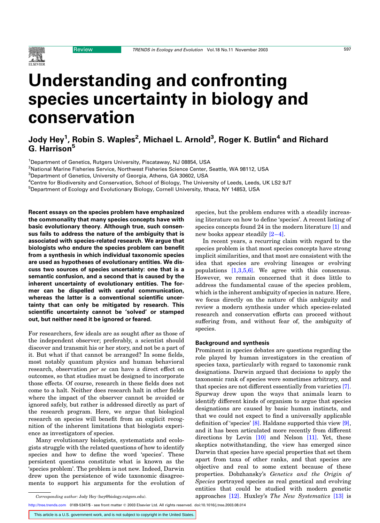

Understanding and confronting species uncertainty in biology and conservation

### Jody Hey<sup>1</sup>, Robin S. Waples<sup>2</sup>, Michael L. Arnold<sup>3</sup>, Roger K. Butlin<sup>4</sup> and Richard G. Harrison<sup>5</sup>

<sup>1</sup>Department of Genetics, Rutgers University, Piscataway, NJ 08854, USA

2 National Marine Fisheries Service, Northwest Fisheries Science Center, Seattle, WA 98112, USA

 $^3$ Department of Genetics, University of Georgia, Athens, GA 30602, USA

4 Centre for Biodiversity and Conservation, School of Biology, The University of Leeds, Leeds, UK LS2 9JT

<sup>5</sup>Department of Ecology and Evolutionary Biology, Cornell University, Ithaca, NY 14853, USA

Recent essays on the species problem have emphasized the commonality that many species concepts have with basic evolutionary theory. Although true, such consensus fails to address the nature of the ambiguity that is associated with species-related research. We argue that biologists who endure the species problem can benefit from a synthesis in which individual taxonomic species are used as hypotheses of evolutionary entities. We discuss two sources of species uncertainty: one that is a semantic confusion, and a second that is caused by the inherent uncertainty of evolutionary entities. The former can be dispelled with careful communication, whereas the latter is a conventional scientific uncertainty that can only be mitigated by research. This scientific uncertainty cannot be 'solved' or stamped out, but neither need it be ignored or feared.

For researchers, few ideals are as sought after as those of the independent observer; preferably, a scientist should discover and transmit his or her story, and not be a part of it. But what if that cannot be arranged? In some fields, most notably quantum physics and human behavioral research, observation per se can have a direct effect on outcomes, so that studies must be designed to incorporate those effects. Of course, research in these fields does not come to a halt. Neither does research halt in other fields where the impact of the observer cannot be avoided or ignored safely, but rather is addressed directly as part of the research program. Here, we argue that biological research on species will benefit from an explicit recognition of the inherent limitations that biologists experience as investigators of species.

Many evolutionary biologists, systematists and ecologists struggle with the related questions of how to identify species and how to define the word 'species'. These persistent questions constitute what is known as the 'species problem'. The problem is not new. Indeed, Darwin drew upon the persistence of wide taxonomic disagreements to support his arguments for the evolution of species, but the problem endures with a steadily increasing literature on how to define 'species'. A recent listing of species concepts found 24 in the modern literature [\[1\]](#page-6-0) and new books appear steadily [\[2–4\]](#page-6-0).

In recent years, a recurring claim with regard to the species problem is that most species concepts have strong implicit similarities, and that most are consistent with the idea that species are evolving lineages or evolving populations [\[1,3,5,6\].](#page-6-0) We agree with this consensus. However, we remain concerned that it does little to address the fundamental cause of the species problem, which is the inherent ambiguity of species in nature. Here, we focus directly on the nature of this ambiguity and review a modern synthesis under which species-related research and conservation efforts can proceed without suffering from, and without fear of, the ambiguity of species.

#### Background and synthesis

Prominent in species debates are questions regarding the role played by human investigators in the creation of species taxa, particularly with regard to taxonomic rank designations. Darwin argued that decisions to apply the taxonomic rank of species were sometimes arbitrary, and that species are not different essentially from varieties [\[7\]](#page-6-0). Spurway drew upon the ways that animals learn to identify different kinds of organism to argue that species designations are caused by basic human instincts, and that we could not expect to find a universally applicable definition of 'species' [\[8\]](#page-6-0). Haldane supported this view [\[9\]](#page-6-0), and it has been articulated more recently from different directions by Levin  $[10]$  and Nelson  $[11]$ . Yet, these skeptics notwithstanding, the view has emerged since Darwin that species have special properties that set them apart from taxa of other ranks, and that species are objective and real to some extent because of these properties. Dobzhansky's Genetics and the Origin of Species portrayed species as real genetical and evolving entities that could be studied with modern genetic Corresponding author: Jody Hey (hey@biology.rutgers.edu). **approaches** [\[12\].](#page-6-0) Huxley's The New Systematics [\[13\]](#page-6-0) is

[http://tree.trends.com](http://www.trends.com) 0169-5347/\$ - see front matter q 2003 Elsevier Ltd. All rights reserved. doi:10.1016/j.tree.2003.08.014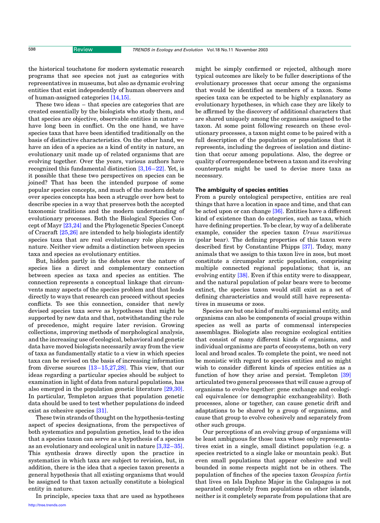the historical touchstone for modern systematic research programs that see species not just as categories with representatives in museums, but also as dynamic evolving entities that exist independently of human observers and of human-assigned categories [\[14,15\]](#page-6-0).

These two ideas – that species are categories that are created essentially by the biologists who study them, and that species are objective, observable entities in nature – have long been in conflict. On the one hand, we have species taxa that have been identified traditionally on the basis of distinctive characteristics. On the other hand, we have an idea of a species as a kind of entity in nature, an evolutionary unit made up of related organisms that are evolving together. Over the years, various authors have recognized this fundamental distinction [\[3,16–22\].](#page-6-0) Yet, is it possible that these two perspectives on species can be joined? That has been the intended purpose of some popular species concepts, and much of the modern debate over species concepts has been a struggle over how best to describe species in a way that preserves both the accepted taxonomic traditions and the modern understanding of evolutionary processes. Both the Biological Species Concept of Mayr [\[23,24\]](#page-6-0) and the Phylogenetic Species Concept of Cracraft [\[25,26\]](#page-6-0) are intended to help biologists identify species taxa that are real evolutionary role players in nature. Neither view admits a distinction between species taxa and species as evolutionary entities.

But, hidden partly in the debates over the nature of species lies a direct and complementary connection between species as taxa and species as entities. The connection represents a conceptual linkage that circumvents many aspects of the species problem and that leads directly to ways that research can proceed without species conflicts. To see this connection, consider that newly devised species taxa serve as hypotheses that might be supported by new data and that, notwithstanding the rule of precedence, might require later revision. Growing collections, improving methods of morphological analysis, and the increasing use of ecological, behavioral and genetic data have moved biologists necessarily away from the view of taxa as fundamentally static to a view in which species taxa can be revised on the basis of increasing information from diverse sources [\[13–15,27,28\]](#page-6-0). This view, that our ideas regarding a particular species should be subject to examination in light of data from natural populations, has also emerged in the population genetic literature [\[29,30\]](#page-6-0). In particular, Templeton argues that population genetic data should be used to test whether populations do indeed exist as cohesive species [\[31\].](#page-6-0)

These twin strands of thought on the hypothesis-testing aspect of species designations, from the perspectives of both systematics and population genetics, lead to the idea that a species taxon can serve as a hypothesis of a species as an evolutionary and ecological unit in nature [\[3,32–35\]](#page-6-0). This synthesis draws directly upon the practice in systematics in which taxa are subject to revision, but, in addition, there is the idea that a species taxon presents a general hypothesis that all existing organisms that would be assigned to that taxon actually constitute a biological entity in nature.

In principle, species taxa that are used as hypotheses [http://tree.trends.com](http://www.trends.com)

might be simply confirmed or rejected, although more typical outcomes are likely to be fuller descriptions of the evolutionary processes that occur among the organisms that would be identified as members of a taxon. Some species taxa can be expected to be highly explanatory as evolutionary hypotheses, in which case they are likely to be affirmed by the discovery of additional characters that are shared uniquely among the organisms assigned to the taxon. At some point following research on these evolutionary processes, a taxon might come to be paired with a full description of the population or populations that it represents, including the degrees of isolation and distinction that occur among populations. Also, the degree or quality of correspondence between a taxon and its evolving counterparts might be used to devise more taxa as necessary.

#### The ambiguity of species entities

From a purely ontological perspective, entities are real things that have a location in space and time, and that can be acted upon or can change [\[36\].](#page-6-0) Entities have a different kind of existence than do categories, such as taxa, which have defining properties. To be clear, by way of a deliberate example, consider the species taxon Ursus maritimus (polar bear). The defining properties of this taxon were described first by Constantine Phipps [\[37\].](#page-6-0) Today, many animals that we assign to this taxon live in zoos, but most constitute a circumpolar arctic population, comprising multiple connected regional populations; that is, an evolving entity [\[38\]](#page-6-0). Even if this entity were to disappear, and the natural population of polar bears were to become extinct, the species taxon would still exist as a set of defining characteristics and would still have representatives in museums or zoos.

Species are but one kind of multi-organismal entity, and organisms can also be components of social groups within species as well as parts of commensal interspecies assemblages. Biologists also recognize ecological entities that consist of many different kinds of organisms, and individual organisms are parts of ecosystems, both on very local and broad scales. To complete the point, we need not be monistic with regard to species entities and so might wish to consider different kinds of species entities as a function of how they arise and persist. Templeton [\[39\]](#page-6-0) articulated two general processes that will cause a group of organisms to evolve together: gene exchange and ecological equivalence (or demographic exchangeability). Both processes, alone or together, can cause genetic drift and adaptations to be shared by a group of organisms, and cause that group to evolve cohesively and separately from other such groups.

Our perceptions of an evolving group of organisms will be least ambiguous for those taxa whose only representatives exist in a single, small distinct population (e.g. a species restricted to a single lake or mountain peak). But even small populations that appear cohesive and well bounded in some respects might not be in others. The population of finches of the species taxon Geospiza fortis that lives on Isla Daphne Major in the Galapagos is not separated completely from populations on other islands, neither is it completely separate from populations that are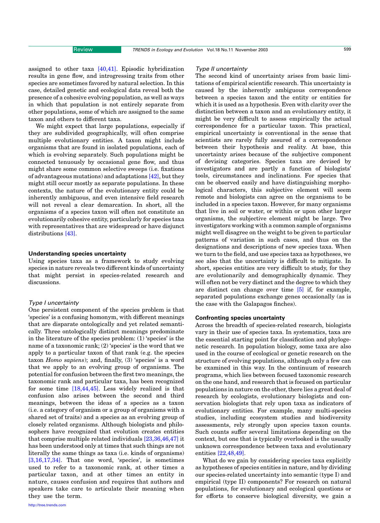assigned to other taxa  $[40, 41]$ . Episodic hybridization results in gene flow, and introgressing traits from other species are sometimes favored by natural selection. In this case, detailed genetic and ecological data reveal both the presence of a cohesive evolving population, as well as ways in which that population is not entirely separate from other populations, some of which are assigned to the same taxon and others to different taxa.

We might expect that large populations, especially if they are subdivided geographically, will often comprise multiple evolutionary entities. A taxon might include organisms that are found in isolated populations, each of which is evolving separately. Such populations might be connected tenuously by occasional gene flow, and thus might share some common selective sweeps (i.e. fixations of advantageous mutations) and adaptations [\[42\]](#page-6-0), but they might still occur mostly as separate populations. In these contexts, the nature of the evolutionary entity could be inherently ambiguous, and even intensive field research will not reveal a clear demarcation. In short, all the organisms of a species taxon will often not constitute an evolutionarily cohesive entity, particularly for species taxa with representatives that are widespread or have disjunct distributions [\[43\]](#page-6-0).

#### Understanding species uncertainty

Using species taxa as a framework to study evolving species in nature reveals two different kinds of uncertainty that might persist in species-related research and discussions.

#### Type I uncertainty

One persistent component of the species problem is that 'species' is a confusing homonym, with different meanings that are disparate ontologically and yet related semantically. Three ontologically distinct meanings predominate in the literature of the species problem: (1) 'species' is the name of a taxonomic rank; (2) 'species' is the word that we apply to a particular taxon of that rank (e.g. the species taxon Homo sapiens); and, finally, (3) 'species' is a word that we apply to an evolving group of organisms. The potential for confusion between the first two meanings, the taxonomic rank and particular taxa, has been recognized for some time [\[18,44,45\].](#page-6-0) Less widely realized is that confusion also arises between the second and third meanings, between the ideas of a species as a taxon (i.e. a category of organism or a group of organisms with a shared set of traits) and a species as an evolving group of closely related organisms. Although biologists and philosophers have recognized that evolution creates entities that comprise multiple related individuals [\[23,36,46,47\]](#page-6-0) it has been understood only at times that such things are not literally the same things as taxa (i.e. kinds of organisms) [\[3,16,17,34\].](#page-6-0) That one word, 'species', is sometimes used to refer to a taxonomic rank, at other times a particular taxon, and at other times an entity in nature, causes confusion and requires that authors and speakers take care to articulate their meaning when they use the term.

#### Type II uncertainty

The second kind of uncertainty arises from basic limitations of empirical scientific research. This uncertainty is caused by the inherently ambiguous correspondence between a species taxon and the entity or entities for which it is used as a hypothesis. Even with clarity over the distinction between a taxon and an evolutionary entity, it might be very difficult to assess empirically the actual correspondence for a particular taxon. This practical, empirical uncertainty is conventional in the sense that scientists are rarely fully assured of a correspondence between their hypothesis and reality. At base, this uncertainty arises because of the subjective component of devising categories. Species taxa are devised by investigators and are partly a function of biologists' tools, circumstances and inclinations. For species that can be observed easily and have distinguishing morphological characters, this subjective element will seem remote and biologists can agree on the organisms to be included in a species taxon. However, for many organisms that live in soil or water, or within or upon other larger organisms, the subjective element might be large. Two investigators working with a common sample of organisms might well disagree on the weight to be given to particular patterns of variation in such cases, and thus on the designations and descriptions of new species taxa. When we turn to the field, and use species taxa as hypotheses, we see also that the uncertainty is difficult to mitigate. In short, species entities are very difficult to study, for they are evolutionarily and demographically dynamic. They will often not be very distinct and the degree to which they are distinct can change over time [\[5\]](#page-6-0) if, for example, separated populations exchange genes occasionally (as is the case with the Galapagos finches).

#### Confronting species uncertainty

Across the breadth of species-related research, biologists vary in their use of species taxa. In systematics, taxa are the essential starting point for classification and phylogenetic research. In population biology, some taxa are also used in the course of ecological or genetic research on the structure of evolving populations, although only a few can be examined in this way. In the continuum of research programs, which lies between focused taxonomic research on the one hand, and research that is focused on particular populations in nature on the other, there lies a great deal of research by ecologists, evolutionary biologists and conservation biologists that rely upon taxa as indicators of evolutionary entities. For example, many multi-species studies, including ecosystem studies and biodiversity assessments, rely strongly upon species taxon counts. Such counts suffer several limitations depending on the context, but one that is typically overlooked is the usually unknown correspondence between taxa and evolutionary entities [\[22,48,49\]](#page-6-0).

What do we gain by considering species taxa explicitly as hypotheses of species entities in nature, and by dividing our species-related uncertainty into semantic (type I) and empirical (type II) components? For research on natural populations, for evolutionary and ecological questions or for efforts to conserve biological diversity, we gain a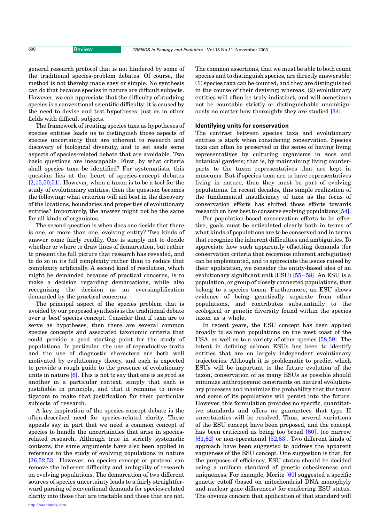general research protocol that is not hindered by some of the traditional species-problem debates. Of course, the method is not thereby made easy or simple. No synthesis can do that because species in nature are difficult subjects. However, we can appreciate that the difficulty of studying species is a conventional scientific difficulty; it is caused by the need to devise and test hypotheses, just as in other fields with difficult subjects.

The framework of treating species taxa as hypotheses of species entities leads us to distinguish those aspects of species uncertainty that are inherent to research and discovery of biological diversity, and to set aside some aspects of species-related debate that are avoidable. Two basic questions are inescapable. First, by what criteria shall species taxa be identified? For systematists, this question lies at the heart of species-concept debates [\[2,15,50,51\].](#page-6-0) However, when a taxon is to be a tool for the study of evolutionary entities, then the question becomes the following: what criterion will aid best in the discovery of the locations, boundaries and properties of evolutionary entities? Importantly, the answer might not be the same for all kinds of organisms.

The second question is when does one decide that there is one, or more than one, evolving entity? Two kinds of answer come fairly readily. One is simply not to decide whether or where to draw lines of demarcation, but rather to present the full picture that research has revealed, and to do so in its full complexity rather than to reduce that complexity artificially. A second kind of resolution, which might be demanded because of practical concerns, is to make a decision regarding demarcations, while also recognizing the decision as an oversimplification demanded by the practical concerns.

The principal aspect of the species problem that is avoided by our proposed synthesis is the traditional debate over a 'best' species concept. Consider that if taxa are to serve as hypotheses, then there are several common species concepts and associated taxonomic criteria that could provide a good starting point for the study of populations. In particular, the use of reproductive traits and the use of diagnostic characters are both well motivated by evolutionary theory, and each is expected to provide a rough guide to the presence of evolutionary units in nature [\[6\]](#page-6-0). This is not to say that one is as good as another in a particular context, simply that each is justifiable in principle, and that it remains to investigators to make that justification for their particular subjects of research.

A key inspiration of the species-concept debate is the often-described need for species-related clarity. These appeals say in part that we need a common concept of species to handle the uncertainties that arise in speciesrelated research. Although true in strictly systematic contexts, the same arguments have also been applied in reference to the study of evolving populations in nature [\[26,52,53\].](#page-6-0) However, no species concept or protocol can remove the inherent difficulty and ambiguity of research on evolving populations. The demarcation of two different sources of species uncertainty leads to a fairly straightforward parsing of conventional demands for species-related clarity into those that are tractable and those that are not.

The common assertions, that we must be able to both count species and to distinguish species, are directly answerable: (1) species taxa can be counted, and they are distinguished in the course of their devising; whereas, (2) evolutionary entities will often be truly indistinct, and will sometimes not be countable strictly or distinguishable unambiguously no matter how thoroughly they are studied [\[34\]](#page-6-0).

#### Identifying units for conservation

The contrast between species taxa and evolutionary entities is stark when considering conservation. Species taxa can often be preserved in the sense of having living representatives by culturing organisms in zoos and botanical gardens; that is, by maintaining living counterparts to the taxon representatives that are kept in museums. But if species taxa are to have representatives living in nature, then they must be part of evolving populations. In recent decades, this simple realization of the fundamental insufficiency of taxa as the focus of conservation efforts has shifted those efforts towards research on how best to conserve evolving populations [\[54\]](#page-6-0).

For population-based conservation efforts to be effective, goals must be articulated clearly both in terms of what kinds of populations are to be conserved and in terms that recognize the inherent difficulties and ambiguities. To appreciate how such apparently offsetting demands (for conservation criteria that recognize inherent ambiguities) can be implemented, and to appreciate the issues raised by their application, we consider the entity-based idea of an evolutionary significant unit (ESU) [\[55–58\]](#page-6-0). An ESU is a population, or group of closely connected populations, that belong to a species taxon. Furthermore, an ESU shows evidence of being genetically separate from other populations, and contributes substantially to the ecological or genetic diversity found within the species taxon as a whole.

In recent years, the ESU concept has been applied broadly to salmon populations on the west coast of the USA, as well as to a variety of other species [\[58,59\]](#page-6-0). The intent in defining salmon ESUs has been to identify entities that are on largely independent evolutionary trajectories. Although it is problematic to predict which ESUs will be important to the future evolution of the taxon, conservation of as many ESUs as possible should minimize anthropogenic constraints on natural evolutionary processes and maximize the probability that the taxon and some of its populations will persist into the future. However, this formulation provides no specific, quantitative standards and offers no guarantees that type II uncertainties will be resolved. Thus, several variations of the ESU concept have been proposed, and the concept has been criticized as being too broad [\[60\],](#page-7-0) too narrow [\[61,62\]](#page-7-0) or non-operational [\[52,63\].](#page-6-0) Two different kinds of approach have been suggested to address the apparent vagueness of the ESU concept. One suggestion is that, for the purposes of efficiency, ESU status should be decided using a uniform standard of genetic cohesiveness and uniqueness. For example, Moritz [\[60\]](#page-7-0) suggested a specific genetic cutoff (based on mitochondrial DNA monophyly and nuclear gene differences) for conferring ESU status. The obvious concern that application of that standard will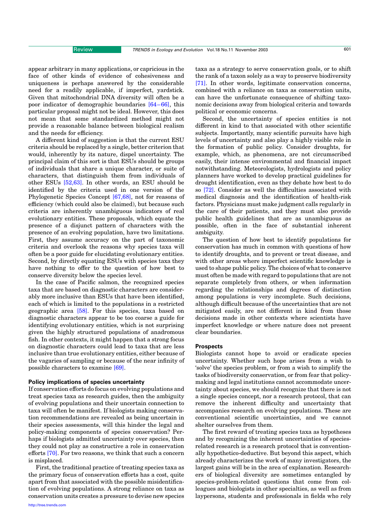appear arbitrary in many applications, or capricious in the face of other kinds of evidence of cohesiveness and uniqueness is perhaps answered by the considerable need for a readily applicable, if imperfect, yardstick. Given that mitochondrial DNA diversity will often be a poor indicator of demographic boundaries [\[64–66\]](#page-7-0), this particular proposal might not be ideal. However, this does not mean that some standardized method might not provide a reasonable balance between biological realism and the needs for efficiency.

A different kind of suggestion is that the current ESU criteria should be replaced by a single, better criterion that would, inherently by its nature, dispel uncertainty. The principal claim of this sort is that ESUs should be groups of individuals that share a unique character, or suite of characters, that distinguish them from individuals of other ESUs [\[52,63\]](#page-6-0). In other words, an ESU should be identified by the criteria used in one version of the Phylogenetic Species Concept [\[67,68\]](#page-7-0), not for reasons of efficiency (which could also be claimed), but because such criteria are inherently unambiguous indicators of real evolutionary entities. These proposals, which equate the presence of a disjunct pattern of characters with the presence of an evolving population, have two limitations. First, they assume accuracy on the part of taxonomic criteria and overlook the reasons why species taxa will often be a poor guide for elucidating evolutionary entities. Second, by directly equating ESUs with species taxa they have nothing to offer to the question of how best to conserve diversity below the species level.

In the case of Pacific salmon, the recognized species taxa that are based on diagnostic characters are considerably more inclusive than ESUs that have been identified, each of which is limited to the populations in a restricted geographic area [\[58\].](#page-6-0) For this species, taxa based on diagnostic characters appear to be too coarse a guide for identifying evolutionary entities, which is not surprising given the highly structured populations of anadromous fish. In other contexts, it might happen that a strong focus on diagnostic characters could lead to taxa that are less inclusive than true evolutionary entities, either because of the vagaries of sampling or because of the near infinity of possible characters to examine [\[69\].](#page-7-0)

#### Policy implications of species uncertainty

If conservation efforts do focus on evolving populations and treat species taxa as research guides, then the ambiguity of evolving populations and their uncertain connection to taxa will often be manifest. If biologists making conservation recommendations are revealed as being uncertain in their species assessments, will this hinder the legal and policy-making components of species conservation? Perhaps if biologists admitted uncertainty over species, then they could not play as constructive a role in conservation efforts [\[70\]](#page-7-0). For two reasons, we think that such a concern is misplaced.

First, the traditional practice of treating species taxa as the primary focus of conservation efforts has a cost, quite apart from that associated with the possible misidentification of evolving populations. A strong reliance on taxa as conservation units creates a pressure to devise new species

[http://tree.trends.com](http://www.trends.com)

taxa as a strategy to serve conservation goals, or to shift the rank of a taxon solely as a way to preserve biodiversity [\[71\].](#page-7-0) In other words, legitimate conservation concerns, combined with a reliance on taxa as conservation units, can have the unfortunate consequence of shifting taxonomic decisions away from biological criteria and towards political or economic concerns.

Second, the uncertainty of species entities is not different in kind to that associated with other scientific subjects. Importantly, many scientific pursuits have high levels of uncertainty and also play a highly visible role in the formation of public policy. Consider droughts, for example, which, as phenomena, are not circumscribed easily, their intense environmental and financial impact notwithstanding. Meteorologists, hydrologists and policy planners have worked to develop practical guidelines for drought identification, even as they debate how best to do so [\[72\].](#page-7-0) Consider as well the difficulties associated with medical diagnosis and the identification of health-risk factors. Physicians must make judgment calls regularly in the care of their patients, and they must also provide public health guidelines that are as unambiguous as possible, often in the face of substantial inherent ambiguity.

The question of how best to identify populations for conservation has much in common with questions of how to identify droughts, and to prevent or treat disease, and with other areas where imperfect scientific knowledge is used to shape public policy. The choices of what to conserve must often be made with regard to populations that are not separate completely from others, or when information regarding the relationships and degrees of distinction among populations is very incomplete. Such decisions, although difficult because of the uncertainties that are not mitigated easily, are not different in kind from those decisions made in other contexts where scientists have imperfect knowledge or where nature does not present clear boundaries.

#### **Prospects**

Biologists cannot hope to avoid or eradicate species uncertainty. Whether such hope arises from a wish to 'solve' the species problem, or from a wish to simplify the tasks of biodiversity conservation, or from fear that policymaking and legal institutions cannot accommodate uncertainty about species, we should recognize that there is not a single species concept, nor a research protocol, that can remove the inherent difficulty and uncertainty that accompanies research on evolving populations. These are conventional scientific uncertainties, and we cannot shelter ourselves from them.

The first reward of treating species taxa as hypotheses and by recognizing the inherent uncertainties of speciesrelated research is a research protocol that is conventionally hypothetico-deductive. But beyond this aspect, which already characterizes the work of many investigators, the largest gains will be in the area of explanation. Researchers of biological diversity are sometimes entangled by species-problem-related questions that come from colleagues and biologists in other specialties, as well as from laypersons, students and professionals in fields who rely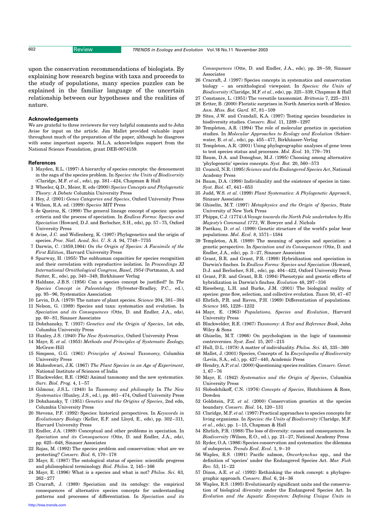<span id="page-6-0"></span>

upon the conservation recommendations of biologists. By explaining how research begins with taxa and proceeds to the study of populations, many species puzzles can be explained in the familiar language of the uncertain relationship between our hypotheses and the realities of nature.

#### Acknowledgements

We are grateful to three reviewers for very helpful comments and to John Avise for input on the article. Jim Mallet provided valuable input throughout much of the preparation of the paper, although he disagrees with some important aspects. M.L.A. acknowledges support from the National Science Foundation, grant DEB-0074159.

#### References

- 1 Mayden, R.L. (1997) A hierarchy of species concepts: the denouement in the saga of the species problem. In Species: the Units of Biodiversity (Claridge, M.F. et al., eds), pp. 381–424, Chapman & Hall
- 2 Wheeler, Q.D., Meier, R. eds (2000) Species Concepts and Phylogenetic Theory: A Debate Columbia University Press
- 3 Hey, J. (2001) Genes Categories and Species, Oxford University Press
- 4 Wilson, R.A. ed. (1999) Species MIT Press
- 5 de Queiroz, K. (1998) The general lineage concept of species: species criteria and the process of speciation. In Endless Forms: Species and Speciation (Howard, D.J. and Berlocher, S.H., eds), pp. 57–75, Oxford University Press
- 6 Avise, J.C. and Wollenberg, K. (1997) Phylogenetics and the origin of species. Proc. Natl. Acad. Sci. U. S. A. 94, 7748–7755
- 7 Darwin, C. (1859,1964) On the Origin of Species: A Facsimile of the First Edition, Harvard University Press
- 8 Spurway, H. (1955) The subhuman capacities for species recognition and their correlation with reproductive isolation. In Proceedings XI International Ornithological Congress, Basel, 1954 (Portmann, A. and Sutter, E., eds), pp. 340–349, Birkhäuser Verlag
- 9 Haldane, J.B.S. (1956) Can a species concept be justified? In The Species Concept in Paleontology (Sylvester-Bradley, P.C., ed.), pp. 95–96, Systematics Association
- 10 Levin, D.A. (1979) The nature of plant species. Science 204, 381–384
- 11 Nelson, G. (1989) Species and taxa: systematics and evolution. In Speciation and its Consequences (Otte, D. and Endler, J.A., eds), pp. 60–81, Sinauer Associates
- 12 Dobzhansky, T. (1937) Genetics and the Origin of Species, 1st edn, Columbia University Press
- 13 Huxley, J.S. (1940) The New Systematics, Oxford University Press
- 14 Mayr, E. et al. (1953) Methods and Principles of Systematic Zoology, McGraw-Hill
- 15 Simpson, G.G. (1961) Principles of Animal Taxonomy, Columbia University Press
- 16 Maheshwari, J.K. (1967) The Plant Species in an Age of Experiment, National Institute of Sciences of India
- 17 Blackwelder, R.E. (1962) Animal taxonomy and the new systematics. Surv. Biol. Prog. 4, 1–57
- 18 Gilmour, J.S.L. (1940) In Taxonomy and philosophy In The New Systematics (Huxley, J.S., ed.), pp. 461–474, Oxford University Press
- 19 Dobzhansky, T. (1951) Genetics and the Origins of Species, 2nd edn, Columbia University Press
- 20 Stevens, P.F. (1992) Species: historical perspectives. In Keywords in Evolutionary Biology (Keller, E.F. and Lloyd, E., eds), pp. 302–311, Harvard University Press
- 21 Endler, J.A. (1989) Conceptual and other problems in speciation. In Speciation and its Consequences (Otte, D. and Endler, J.A., eds), pp. 625–648, Sinauer Associates
- 22 Rojas, M. (1992) The species problem and conservation: what are we protecting? Conserv. Biol. 6, 170–178
- 23 Mayr, E. (1987) The ontological status of species: scientific progress and philosophical terminology. Biol. Philos. 2, 145–166
- 24 Mayr, E. (1996) What is a species and what is not? Philos. Sci. 63, 262–277
- 25 Cracraft, J. (1989) Speciation and its ontology: the empirical consequences of alternative species concepts for understanding patterns and processes of differentiation. In Speciation and its
- 26 Cracraft, J. (1997) Species concepts in systematics and conservation biology – an ornithological viewpoint. In Species: the Units of Biodiversity (Claridge, M.F. et al., eds), pp. 325–339, Chapman & Hall
- 27 Constance, L. (1951) The versatile taxonomist. Brittonia 7, 225–231
- 28 Ertter, B. (2000) Floristic surprises in North America north of Mexico. Ann. Miss. Bot. Gard. 87, 81–109
- 29 Sites, J.W. and Crandall, K.A. (1997) Testing species boundaries in biodiversity studies. Conserv. Biol. 11, 1289–1297
- 30 Templeton, A.R. (1994) The role of molecular genetics in speciation studies. In Molecular Approaches to Ecology and Evolution (Schierwater, B. et al., eds), pp. 455–477, Birkhäuser-Verlag
- 31 Templeton, A.R. (2001) Using phylogeographic analyses of gene trees to test species status and processes. Mol. Ecol. 10, 779–791
- 32 Baum, D.A. and Donoghue, M.J. (1995) Choosing among alternative 'phylogenetic' species concepts. Syst. Bot. 20, 560–573
- 33 Council, N.R. (1995) Science and the Endangered Species Act, National Academy Press
- 34 Baum, D.A. (1998) Individuality and the existence of species in time. Syst. Biol. 47, 641–653
- 35 Judd, W.S. et al. (1999) Plant Systematics: A Phylogenetic Approach, Sinauer Associates
- 36 Ghiselin, M.T. (1997) Metaphysics and the Origin of Species, State University of New York Press
- 37 Phipps, C.J. (1774) AVoyage towards the North Pole undertaken by His Majesty's Command 1773, W. Bowyer and J. Nichols
- 38 Paetkau, D. et al. (1999) Genetic structure of the world's polar bear populations. Mol. Ecol. 8, 1571–1584
- 39 Templeton, A.R. (1989) The meaning of species and speciation: a genetic perspective. In Speciation and its Consequences (Otte, D. and Endler, J.A., eds), pp. 3–27, Sinauer Associates
- 40 Grant, B.R. and Grant, P.R. (1998) Hybridization and speciation in Darwin's finches. In Endless Forms: Species and Speciation (Howard, D.J. and Berlocher, S.H., eds), pp. 404–422, Oxford University Press
- 41 Grant, P.R. and Grant, B.R. (1994) Phenotypic and genetic effects of hybridization in Darwin's finches. Evolution 48, 297–316
- 42 Rieseberg, L.H. and Burke, J.M. (2001) The biological reality of species: gene flow, selection, and collective evolution. Taxon 50, 47–67
- 43 Ehrlich, P.R. and Raven, P.H. (1969) Differentiation of populations. Science 165, 1228–1232
- 44 Mayr, E. (1963) Populations, Species and Evolution, Harvard University Press
- 45 Blackwelder, R.E. (1967) Taxonomy: A Text and Reference Book, John Wiley & Sons
- 46 Ghiselin, M.T. (1966) On psychologism in the logic of taxonomic controversies. Syst. Zool. 15, 207–215
- 47 Hull, D.L. (1978) A matter of individuality. Philos. Sci. 45, 335–360
- 48 Mallet, J. (2001) Species, Concepts of. In Encyclopedia of Biodiversity (Levin, S.A., ed.), pp. 427–440, Academic Press
- 49 Hendry, A.P. et al. (2000) Questioning species realities. Conserv. Genet. 1, 67–76
- 50 Mayr, E. (1942) Systematics and the Origin of Species, Columbia University Press
- 51 Slobodchikoff, C.N. (1976) Concepts of Species, Hutchinson & Ross, Dowden
- 52 Goldstein, P.Z. et al. (2000) Conservation genetics at the species boundary. Conserv. Biol. 14, 120–131
- 53 Claridge, M.F. et al. (1997) Practical approaches to species concepts for living organisms. In Species: the Units of Biodiversity (Claridge, M.F.  $et al., eds, pp. 1-15, Chapman & Hall$
- 54 Ehrlich, P.R. (1988) The loss of diversity: causes and consequences. In Biodiversity (Wilson, E.O., ed.), pp. 21–27, National Academy Press
- 55 Ryder, O.A. (1986) Species conservation and systematics: the dilemma of subspecies. Trends Ecol. Evol. 1, 9–10
- 56 Waples, R.S. (1991) Pacific salmon, Oncorhynchus spp., and the definition of 'species' under the Endangered Species Act. Mar. Fish Rev. 53, 11–22
- 57 Dizon, A.E. et al. (1992) Rethinking the stock concept: a phylogeographic approach. Conserv. Biol. 6, 24–36
- 58 Waples, R.S. (1995) Evolutionarily significant units and the conservation of biological diversity under the Endangered Species Act. In Evolution and the Aquatic Ecosystem: Defining Unique Units in